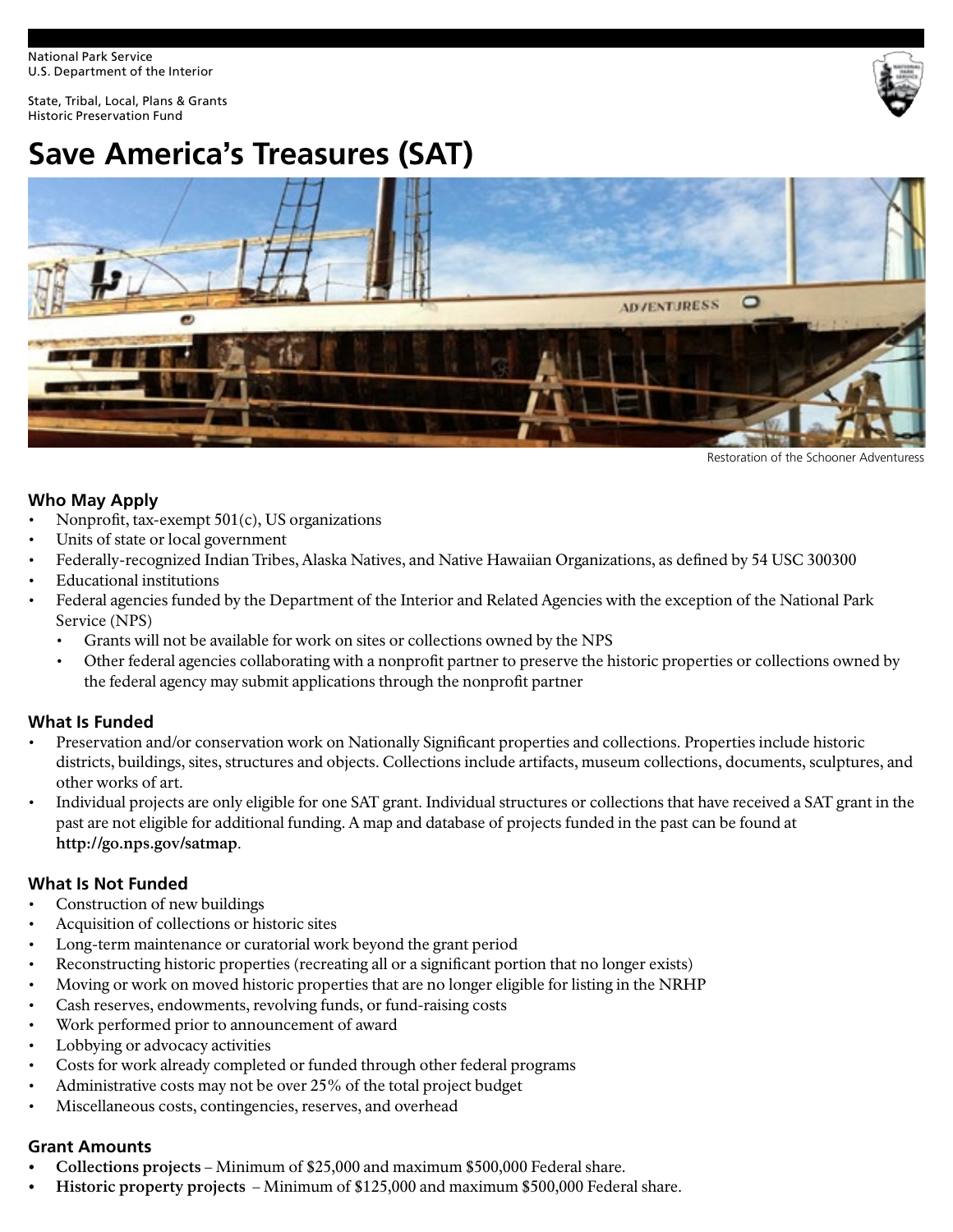National Park Service U.S. Department of the Interior

State, Tribal, Local, Plans & Grants Historic Preservation Fund



# **Save America's Treasures (SAT)**



Restoration of the Schooner Adventuress

#### **Who May Apply**

- Nonproft, tax-exempt 501(c), US organizations
- Units of state or local government
- Federally-recognized Indian Tribes, Alaska Natives, and Native Hawaiian Organizations, as defned by 54 USC 300300
- Educational institutions
- Federal agencies funded by the Department of the Interior and Related Agencies with the exception of the National Park Service (NPS)
	- Grants will not be available for work on sites or collections owned by the NPS
	- Other federal agencies collaborating with a nonproft partner to preserve the historic properties or collections owned by the federal agency may submit applications through the nonproft partner

#### **What Is Funded**

- Preservation and/or conservation work on Nationally Signifcant properties and collections. Properties include historic districts, buildings, sites, structures and objects. Collections include artifacts, museum collections, documents, sculptures, and other works of art.
- Individual projects are only eligible for one SAT grant. Individual structures or collections that have received a SAT grant in the past are not eligible for additional funding. A map and database of projects funded in the past can be found at **<http://go.nps.gov/satmap>**.

#### **What Is Not Funded**

- Construction of new buildings
- Acquisition of collections or historic sites
- Long-term maintenance or curatorial work beyond the grant period
- Reconstructing historic properties (recreating all or a signifcant portion that no longer exists)
- Moving or work on moved historic properties that are no longer eligible for listing in the NRHP
- Cash reserves, endowments, revolving funds, or fund-raising costs
- Work performed prior to announcement of award
- Lobbying or advocacy activities
- Costs for work already completed or funded through other federal programs
- Administrative costs may not be over 25% of the total project budget
- Miscellaneous costs, contingencies, reserves, and overhead

#### **Grant Amounts**

- **Collections projects**  Minimum of \$25,000 and maximum \$500,000 Federal share.
- **Historic property projects** Minimum of \$125,000 and maximum \$500,000 Federal share.